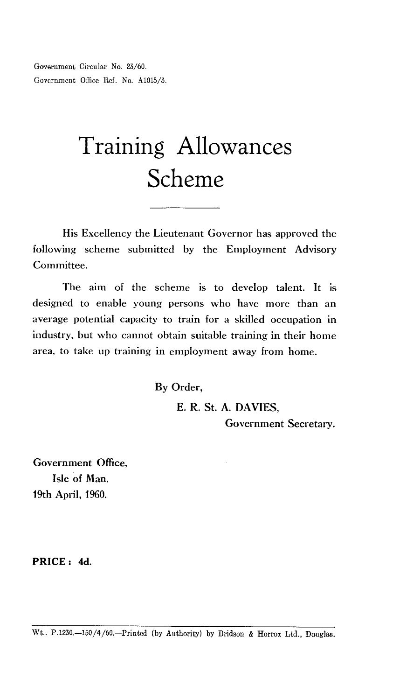Government Circular No. 23/60. Government Office Ref. No. A1015/3.

# Training Allowances Scheme

His Excellency the Lieutenant Governor has approved the following scheme submitted by the Employment Advisory Committee.

The aim of the scheme is to develop talent. It is designed to enable young persons who have more than an average potential capacity to train for a skilled occupation in industry, but who cannot obtain suitable training in their home area, to take up training in employment away from home.

By Order,

E. R. St. A. DAVIES, Government Secretary.

Government Office, Isle of Man. 19th April, 1960.

**PRICE : 4d.**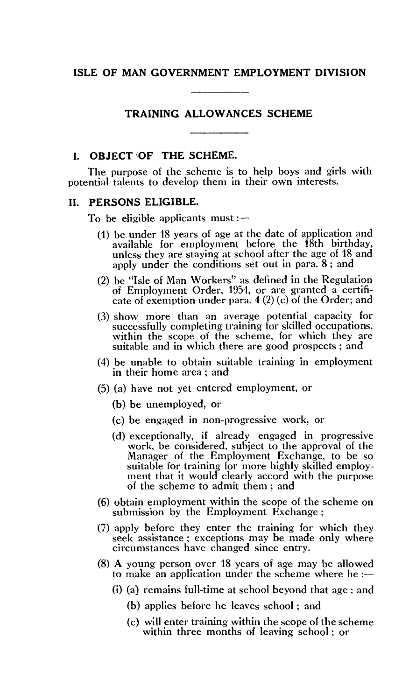#### **ISLE OF MAN GOVERNMENT EMPLOYMENT DIVISION**

# **TRAINING ALLOWANCES SCHEME**

# **I. OBJECT OF THE SCHEME.**

The purpose of the scheme is to help boys and girls with potential talents to develop them in their own interests.

## **II. PERSONS ELIGIBLE.**

To be eligible applicants must  $:$   $-$ 

- (1) be under 18 years of age at the date of application and available for employment before the 18th birthday, unless they are staying at school after the age of 18 and apply under the conditions set out in para. 8; and
- (2) be "Isle of Man Workers" as defined in the Regulation of Employment Order, 1954, or are granted a certificate of exemption under para. 4 (2) (c) of the Order; and
- (3) show more than an average potential capacity for successfully completing training for skilled occupations, within the scope of the scheme, for which they are suitable and in which there are good prospects ; and
- (4) be unable to obtain suitable training in employment in their home area ; and
- (5) (a) have not yet entered employment, or
	- (b) be unemployed, or
	- (c) be engaged in non-progressive work, or
	- (d) exceptionally, if already engaged in progressive work, be considered, subject to the approval of the Manager of the Employment Exchange, to be so suitable for training for more highly skilled employment that it would clearly accord with the purpose of the scheme to admit them ; and
- (6) obtain employment within the scope of the scheme on submission by the Employment Exchange ;
- (7) apply before they enter the training for which they seek assistance ; exceptions may be made only where circumstances have changed since entry.
- (8) A young person over 18 years of age may be allowed to make an application under the scheme where he  $:$ 
	- (i) (a) remains full-time at school beyond that age ; and
		- (b) applies before he leaves school ; and
		- (c) will enter training within the scope of the scheme within three months of leaving school ; or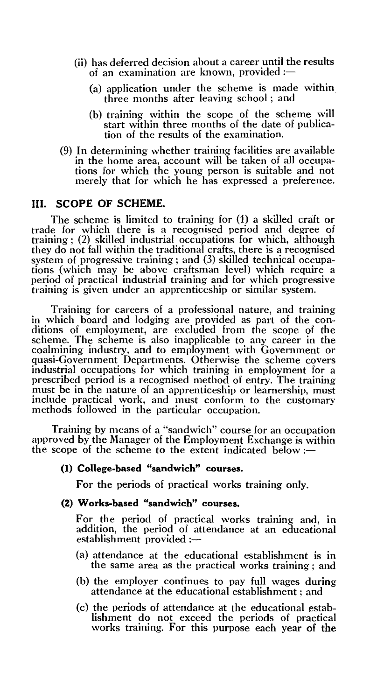- (ii) has deferred decision about a career until the results of an examination are known, provided  $:=$ 
	- (a) application under the scheme is made within three months after leaving school ; and
	- (b) training within the scope of the scheme will start within three months of the date of publication of the results of the examination.
- (9) In determining whether training facilities are available in the home area, account will be taken of all occupations for which the young person is suitable and not merely that for which he has expressed a preference.

# **III. SCOPE OF SCHEME.**

The scheme is limited to training for (1) a skilled craft or trade for which there is a recognised period and degree of training ; (2) skilled industrial occupations for which, although they do not fall within the traditional crafts, there is a recognised system of progressive training ; and (3) skilled technical occupations (which may be above craftsman level) which require a period of practical industrial training and for which progressive training is given under an apprenticeship or similar system.

Training for careers of a professional nature, and training in which board and lodging are provided as part of the conditions of employment, are excluded from the scope of the scheme. The scheme is also inapplicable to any career in the coalmining industry, and to employment with Government or quasi-Government Departments. Otherwise the scheme covers industrial occupations for which training in employment for a prescribed period is a recognised method of entry. The training must be in the nature of an apprenticeship or learnership, must include practical work, and must conform to the customary methods followed in the particular occupation.

Training by means of a "sandwich" course for an occupation approved by the Manager of the Employment Exchange is within the scope of the scheme to the extent indicated below :—

## **(1) College-based "sandwich" courses.**

For the periods of practical works training only.

#### **(2) Works-based "sandwich" courses.**

For the period of practical works training and, in addition, the period of attendance at an educational establishment provided :-

- (a) attendance at the educational establishment is in the same area as the practical works training ; and
- (b) the employer continues to pay full wages during attendance at the educational establishment ; and
- (c) the periods of attendance at the educational establishment do not exceed the periods of practical works training. For this purpose each year of the